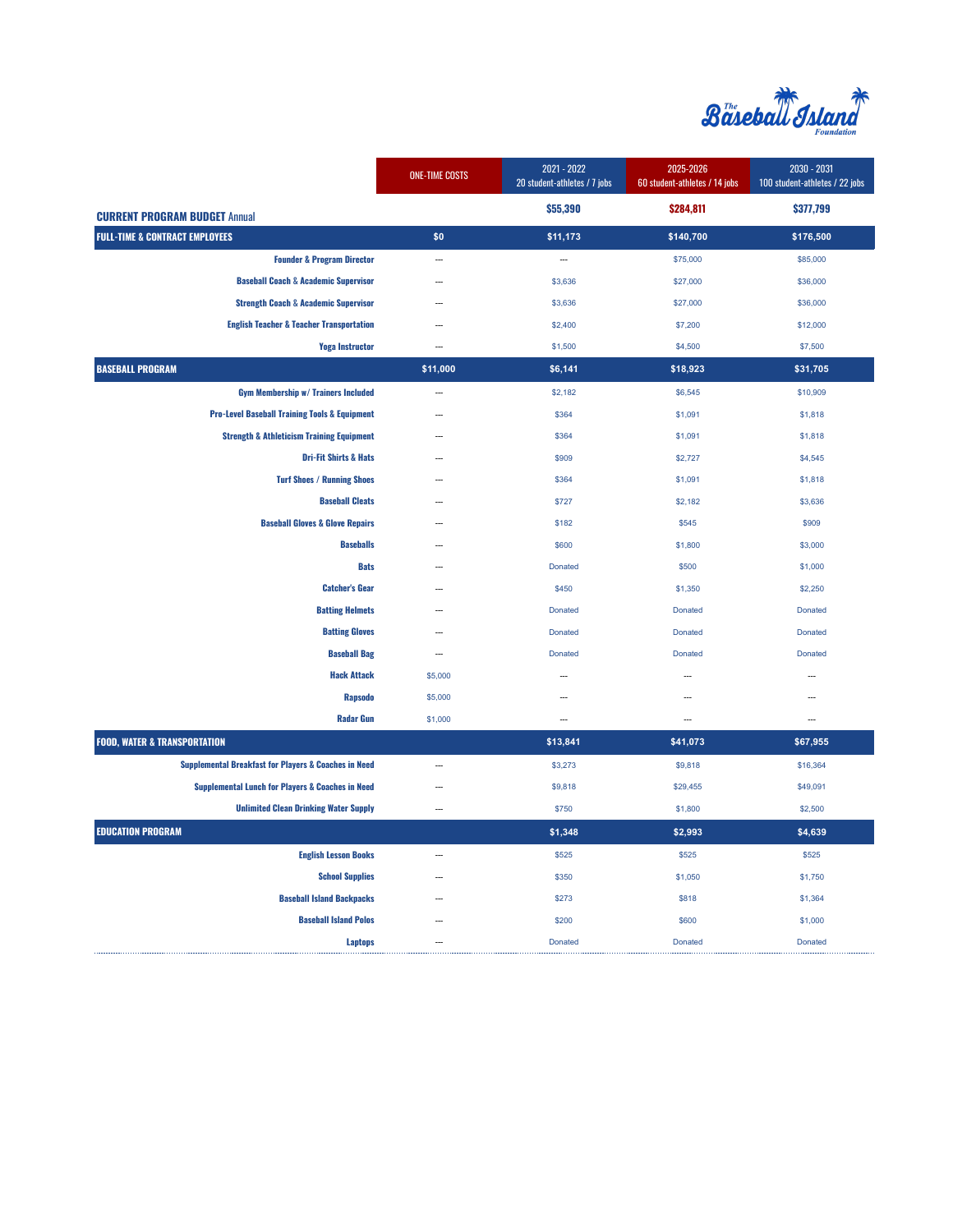

|                                                                 | <b>ONE-TIME COSTS</b>    | 2021 - 2022<br>20 student-athletes / 7 jobs | 2025-2026<br>60 student-athletes / 14 jobs | 2030 - 2031<br>100 student-athletes / 22 jobs |
|-----------------------------------------------------------------|--------------------------|---------------------------------------------|--------------------------------------------|-----------------------------------------------|
| <b>CURRENT PROGRAM BUDGET Annual</b>                            |                          | \$55,390                                    | \$284,811                                  | \$377,799                                     |
| <b>FULL-TIME &amp; CONTRACT EMPLOYEES</b>                       | \$0                      | \$11,173                                    | \$140,700                                  | \$176,500                                     |
| <b>Founder &amp; Program Director</b>                           | $\sim$                   | $\sim$                                      | \$75,000                                   | \$85,000                                      |
| <b>Baseball Coach &amp; Academic Supervisor</b>                 |                          | \$3,636                                     | \$27,000                                   | \$36,000                                      |
| <b>Strength Coach &amp; Academic Supervisor</b>                 |                          | \$3,636                                     | \$27,000                                   | \$36,000                                      |
| <b>English Teacher &amp; Teacher Transportation</b>             |                          | \$2,400                                     | \$7,200                                    | \$12,000                                      |
| <b>Yoga Instructor</b>                                          | $\sim$                   | \$1,500                                     | \$4,500                                    | \$7,500                                       |
| <b>BASEBALL PROGRAM</b>                                         | \$11,000                 | \$6,141                                     | \$18,923                                   | \$31,705                                      |
| <b>Gym Membership w/ Trainers Included</b>                      |                          | \$2,182                                     | \$6,545                                    | \$10,909                                      |
| <b>Pro-Level Baseball Training Tools &amp; Equipment</b>        | $\sim$                   | \$364                                       | \$1,091                                    | \$1,818                                       |
| <b>Strength &amp; Athleticism Training Equipment</b>            |                          | \$364                                       | \$1,091                                    | \$1,818                                       |
| <b>Dri-Fit Shirts &amp; Hats</b>                                |                          | \$909                                       | \$2,727                                    | \$4,545                                       |
| <b>Turf Shoes / Running Shoes</b>                               |                          | \$364                                       | \$1,091                                    | \$1,818                                       |
| <b>Baseball Cleats</b>                                          | <u>.</u>                 | \$727                                       | \$2,182                                    | \$3,636                                       |
| <b>Baseball Gloves &amp; Glove Repairs</b>                      |                          | \$182                                       | \$545                                      | \$909                                         |
| <b>Baseballs</b>                                                |                          | \$600                                       | \$1,800                                    | \$3,000                                       |
| <b>Bats</b>                                                     |                          | Donated                                     | \$500                                      | \$1,000                                       |
| <b>Catcher's Gear</b>                                           | ш.                       | \$450                                       | \$1,350                                    | \$2,250                                       |
| <b>Batting Helmets</b>                                          | ---                      | Donated                                     | <b>Donated</b>                             | Donated                                       |
| <b>Batting Gloves</b>                                           | ш.                       | Donated                                     | Donated                                    | Donated                                       |
| <b>Baseball Bag</b>                                             |                          | Donated                                     | Donated                                    | Donated                                       |
| <b>Hack Attack</b>                                              | \$5,000                  | ---                                         | ---                                        | ---                                           |
| <b>Rapsodo</b>                                                  | \$5,000                  | ---                                         |                                            |                                               |
| <b>Radar Gun</b>                                                | \$1,000                  | $\overline{\phantom{a}}$                    | $\sim$                                     | $\overline{\phantom{a}}$                      |
| <b>FOOD, WATER &amp; TRANSPORTATION</b>                         |                          | \$13,841                                    | \$41,073                                   | \$67,955                                      |
| <b>Supplemental Breakfast for Players &amp; Coaches in Need</b> |                          | \$3,273                                     | \$9,818                                    | \$16,364                                      |
| <b>Supplemental Lunch for Players &amp; Coaches in Need</b>     | ---                      | \$9,818                                     | \$29,455                                   | \$49,091                                      |
| <b>Unlimited Clean Drinking Water Supply</b>                    | $\overline{\phantom{a}}$ | \$750                                       | \$1,800                                    | \$2,500                                       |
| <b>EDUCATION PROGRAM</b>                                        |                          | \$1,348                                     | \$2,993                                    | \$4,639                                       |
| <b>English Lesson Books</b>                                     | $\sim$                   | \$525                                       | \$525                                      | \$525                                         |
| <b>School Supplies</b>                                          |                          | \$350                                       | \$1,050                                    | \$1,750                                       |
| <b>Baseball Island Backpacks</b>                                | ш.                       | \$273                                       | \$818                                      | \$1,364                                       |
| <b>Baseball Island Polos</b>                                    |                          | \$200                                       | \$600                                      | \$1,000                                       |
| <b>Laptops</b>                                                  | $\sim$                   | <b>Donated</b>                              | <b>Donated</b>                             | <b>Donated</b>                                |